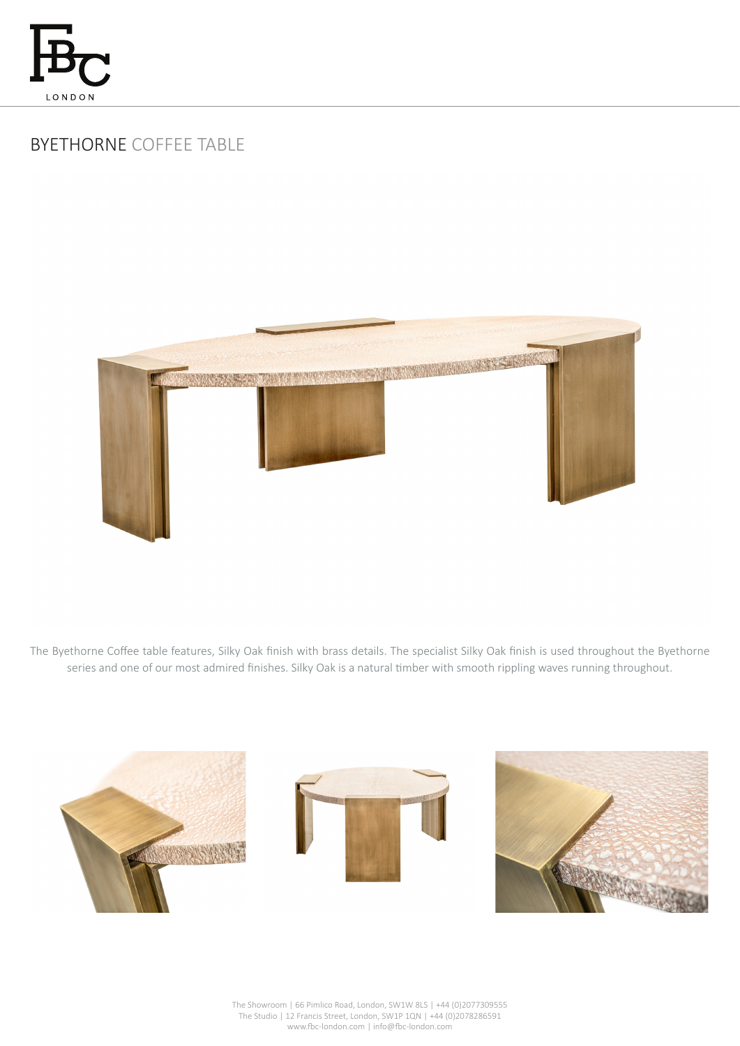

# BYETHORNE COFFEE TABLE



The Byethorne Coffee table features, Silky Oak finish with brass details. The specialist Silky Oak finish is used throughout the Byethorne series and one of our most admired finishes. Silky Oak is a natural timber with smooth rippling waves running throughout.